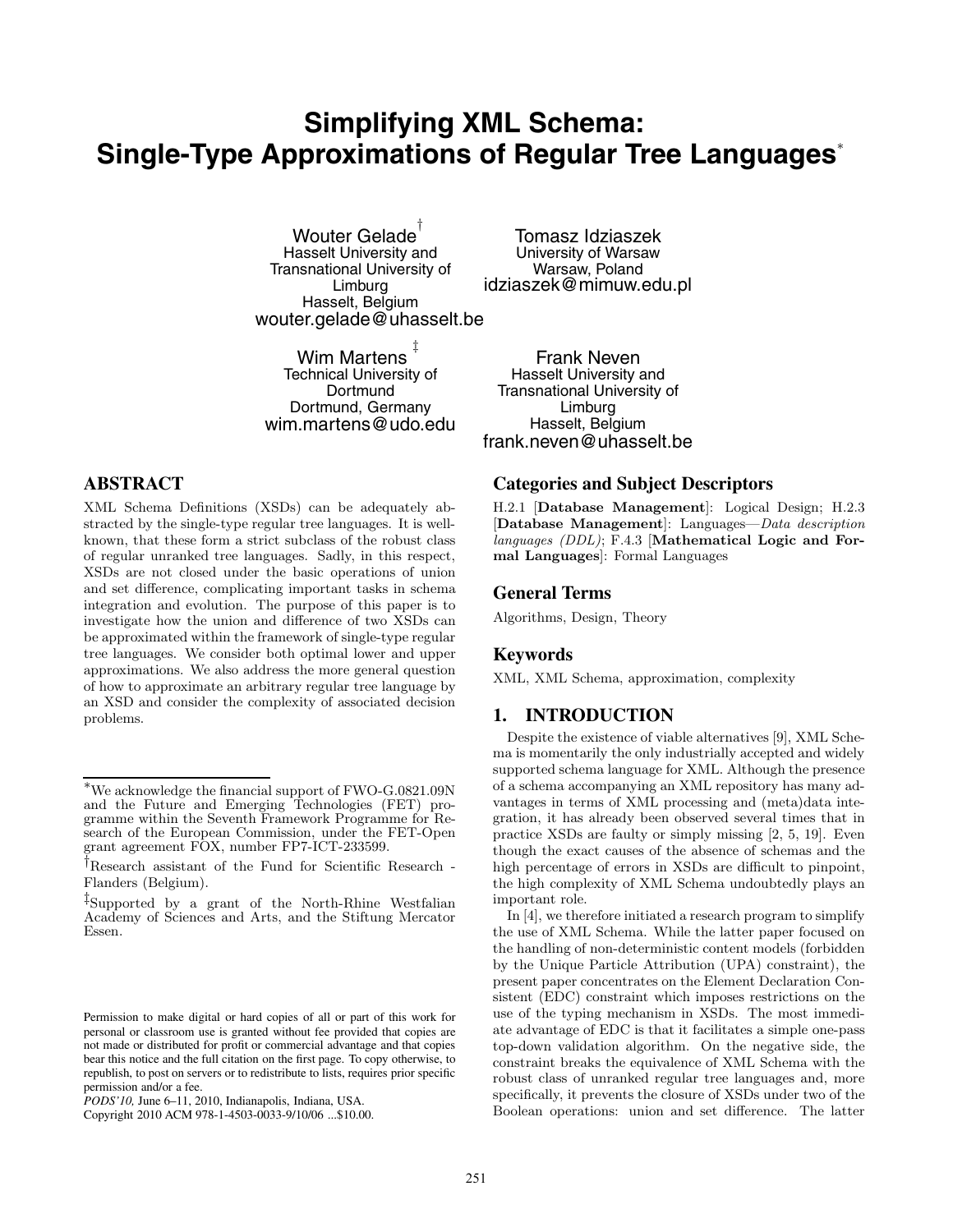# **Simplifying XML Schema: Single-Type Approximations of Regular Tree Languages**<sup>∗</sup>

Wouter Gelade<sup>†</sup> Hasselt University and Transnational University of Limburg Hasselt, Belgium wouter.gelade@uhasselt.be

Wim Martens Technical University of **Dortmund** Dortmund, Germany wim.martens@udo.edu

# **ABSTRACT**

XML Schema Definitions (XSDs) can be adequately abstracted by the single-type regular tree languages. It is wellknown, that these form a strict subclass of the robust class of regular unranked tree languages. Sadly, in this respect, XSDs are not closed under the basic operations of union and set difference, complicating important tasks in schema integration and evolution. The purpose of this paper is to investigate how the union and difference of two XSDs can be approximated within the framework of single-type regular tree languages. We consider both optimal lower and upper approximations. We also address the more general question of how to approximate an arbitrary regular tree language by an XSD and consider the complexity of associated decision problems.

Tomasz Idziaszek University of Warsaw Warsaw, Poland idziaszek@mimuw.edu.pl

Frank Neven Hasselt University and Transnational University of Limburg Hasselt, Belgium frank.neven@uhasselt.be

# **Categories and Subject Descriptors**

H.2.1 [**Database Management**]: Logical Design; H.2.3 [**Database Management**]: Languages—*Data description languages (DDL)*; F.4.3 [**Mathematical Logic and Formal Languages**]: Formal Languages

#### **General Terms**

Algorithms, Design, Theory

## **Keywords**

XML, XML Schema, approximation, complexity

## **1. INTRODUCTION**

Despite the existence of viable alternatives [9], XML Schema is momentarily the only industrially accepted and widely supported schema language for XML. Although the presence of a schema accompanying an XML repository has many advantages in terms of XML processing and (meta)data integration, it has already been observed several times that in practice XSDs are faulty or simply missing [2, 5, 19]. Even though the exact causes of the absence of schemas and the high percentage of errors in XSDs are difficult to pinpoint, the high complexity of XML Schema undoubtedly plays an important role.

In [4], we therefore initiated a research program to simplify the use of XML Schema. While the latter paper focused on the handling of non-deterministic content models (forbidden by the Unique Particle Attribution (UPA) constraint), the present paper concentrates on the Element Declaration Consistent (EDC) constraint which imposes restrictions on the use of the typing mechanism in XSDs. The most immediate advantage of EDC is that it facilitates a simple one-pass top-down validation algorithm. On the negative side, the constraint breaks the equivalence of XML Schema with the robust class of unranked regular tree languages and, more specifically, it prevents the closure of XSDs under two of the Boolean operations: union and set difference. The latter

<sup>∗</sup>We acknowledge the financial support of FWO-G.0821.09N and the Future and Emerging Technologies (FET) programme within the Seventh Framework Programme for Research of the European Commission, under the FET-Open grant agreement FOX, number FP7-ICT-233599.

<sup>†</sup>Research assistant of the Fund for Scientific Research - Flanders (Belgium).

<sup>‡</sup>Supported by a grant of the North-Rhine Westfalian Academy of Sciences and Arts, and the Stiftung Mercator Essen.

Permission to make digital or hard copies of all or part of this work for personal or classroom use is granted without fee provided that copies are not made or distributed for profit or commercial advantage and that copies bear this notice and the full citation on the first page. To copy otherwise, to republish, to post on servers or to redistribute to lists, requires prior specific permission and/or a fee.

*PODS'10,* June 6–11, 2010, Indianapolis, Indiana, USA.

Copyright 2010 ACM 978-1-4503-0033-9/10/06 ...\$10.00.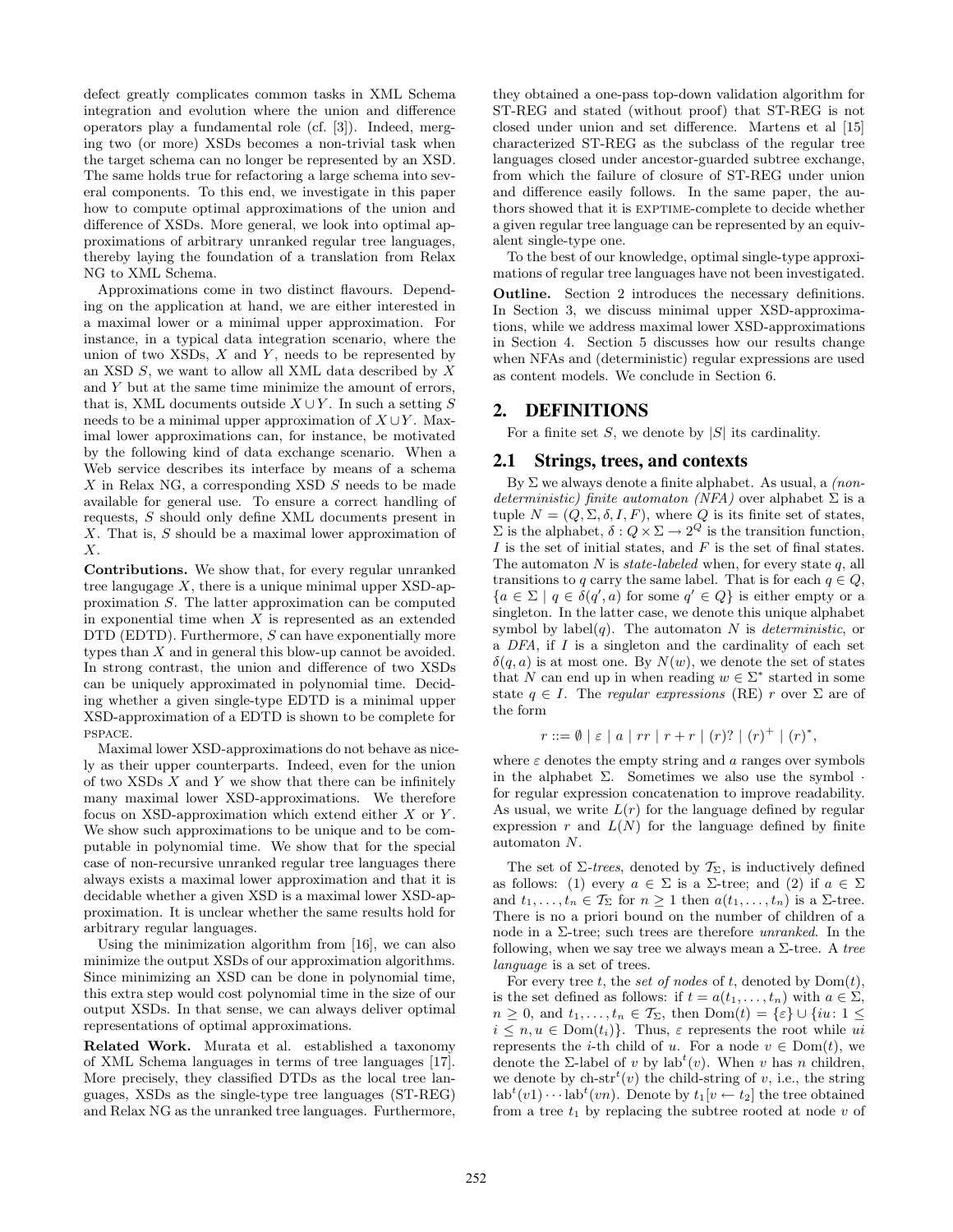defect greatly complicates common tasks in XML Schema integration and evolution where the union and difference operators play a fundamental role (cf. [3]). Indeed, merging two (or more) XSDs becomes a non-trivial task when the target schema can no longer be represented by an XSD. The same holds true for refactoring a large schema into several components. To this end, we investigate in this paper how to compute optimal approximations of the union and difference of XSDs. More general, we look into optimal approximations of arbitrary unranked regular tree languages, thereby laying the foundation of a translation from Relax NG to XML Schema.

Approximations come in two distinct flavours. Depending on the application at hand, we are either interested in a maximal lower or a minimal upper approximation. For instance, in a typical data integration scenario, where the union of two XSDs,  $X$  and  $Y$ , needs to be represented by an XSD S, we want to allow all XML data described by X and Y but at the same time minimize the amount of errors, that is, XML documents outside  $X \cup Y$ . In such a setting S needs to be a minimal upper approximation of  $X \cup Y$ . Maximal lower approximations can, for instance, be motivated by the following kind of data exchange scenario. When a Web service describes its interface by means of a schema  $X$  in Relax NG, a corresponding XSD  $S$  needs to be made available for general use. To ensure a correct handling of requests, S should only define XML documents present in  $X$ . That is,  $S$  should be a maximal lower approximation of X.

**Contributions.** We show that, for every regular unranked tree langugage  $X$ , there is a unique minimal upper  $XSD$ -approximation S. The latter approximation can be computed in exponential time when  $X$  is represented as an extended DTD (EDTD). Furthermore,  $S$  can have exponentially more types than X and in general this blow-up cannot be avoided. In strong contrast, the union and difference of two XSDs can be uniquely approximated in polynomial time. Deciding whether a given single-type EDTD is a minimal upper XSD-approximation of a EDTD is shown to be complete for pspace.

Maximal lower XSD-approximations do not behave as nicely as their upper counterparts. Indeed, even for the union of two  $XSDs X$  and Y we show that there can be infinitely many maximal lower XSD-approximations. We therefore focus on XSD-approximation which extend either X or Y . We show such approximations to be unique and to be computable in polynomial time. We show that for the special case of non-recursive unranked regular tree languages there always exists a maximal lower approximation and that it is decidable whether a given XSD is a maximal lower XSD-approximation. It is unclear whether the same results hold for arbitrary regular languages.

Using the minimization algorithm from [16], we can also minimize the output XSDs of our approximation algorithms. Since minimizing an XSD can be done in polynomial time, this extra step would cost polynomial time in the size of our output XSDs. In that sense, we can always deliver optimal representations of optimal approximations.

**Related Work.** Murata et al. established a taxonomy of XML Schema languages in terms of tree languages [17]. More precisely, they classified DTDs as the local tree languages, XSDs as the single-type tree languages (ST-REG) and Relax NG as the unranked tree languages. Furthermore, they obtained a one-pass top-down validation algorithm for ST-REG and stated (without proof) that ST-REG is not closed under union and set difference. Martens et al [15] characterized ST-REG as the subclass of the regular tree languages closed under ancestor-guarded subtree exchange, from which the failure of closure of ST-REG under union and difference easily follows. In the same paper, the authors showed that it is EXPTIME-complete to decide whether a given regular tree language can be represented by an equivalent single-type one.

To the best of our knowledge, optimal single-type approximations of regular tree languages have not been investigated.

**Outline.** Section 2 introduces the necessary definitions. In Section 3, we discuss minimal upper XSD-approximations, while we address maximal lower XSD-approximations in Section 4. Section 5 discusses how our results change when NFAs and (deterministic) regular expressions are used as content models. We conclude in Section 6.

## **2. DEFINITIONS**

For a finite set  $S$ , we denote by  $|S|$  its cardinality.

#### **2.1 Strings, trees, and contexts**

By Σ we always denote a finite alphabet. As usual, a *(nondeterministic) finite automaton (NFA)* over alphabet  $\Sigma$  is a tuple  $N = (Q, \Sigma, \delta, I, F)$ , where Q is its finite set of states,  $\Sigma$  is the alphabet,  $\delta: Q \times \Sigma \to 2^Q$  is the transition function,  $I$  is the set of initial states, and  $F$  is the set of final states. The automaton N is *state-labeled* when, for every state q, all transitions to q carry the same label. That is for each  $q \in Q$ ,  ${a \in \Sigma \mid q \in \delta(q', a) \text{ for some } q' \in Q}$  is either empty or a singleton. In the latter case, we denote this unique alphabet symbol by  $label(q)$ . The automaton N is *deterministic*, or a *DFA*, if I is a singleton and the cardinality of each set  $\delta(q, a)$  is at most one. By  $N(w)$ , we denote the set of states that N can end up in when reading  $w \in \Sigma^*$  started in some state  $q \in I$ . The *regular expressions* (RE) r over  $\Sigma$  are of the form

$$
r ::= \emptyset \mid \varepsilon \mid a \mid rr \mid r + r \mid (r)? \mid (r)^{+} \mid (r)^{*},
$$

where  $\varepsilon$  denotes the empty string and  $a$  ranges over symbols in the alphabet  $\Sigma$ . Sometimes we also use the symbol  $\cdot$ for regular expression concatenation to improve readability. As usual, we write  $L(r)$  for the language defined by regular expression r and  $L(N)$  for the language defined by finite automaton N.

The set of  $\Sigma$ -trees, denoted by  $\mathcal{T}_{\Sigma}$ , is inductively defined as follows: (1) every  $a \in \Sigma$  is a  $\Sigma$ -tree; and (2) if  $a \in \Sigma$ and  $t_1,\ldots,t_n\in\mathcal{T}_{\Sigma}$  for  $n\geq 1$  then  $a(t_1,\ldots,t_n)$  is a  $\Sigma$ -tree. There is no a priori bound on the number of children of a node in a Σ-tree; such trees are therefore *unranked*. In the following, when we say tree we always mean a  $\Sigma$ -tree. A *tree language* is a set of trees.

For every tree t, the *set of nodes* of t, denoted by  $Dom(t)$ , is the set defined as follows: if  $t = a(t_1, \ldots, t_n)$  with  $a \in \Sigma$ ,  $n \geq 0$ , and  $t_1, \ldots, t_n \in \mathcal{T}_{\Sigma}$ , then  $\text{Dom}(t) = {\varepsilon} \cup \{iu : 1 \leq$  $i \leq n, u \in \text{Dom}(t_i)$ . Thus,  $\varepsilon$  represents the root while ui represents the *i*-th child of u. For a node  $v \in Dom(t)$ , we denote the  $\Sigma$ -label of v by lab<sup>t</sup> $(v)$ . When v has n children, we denote by ch-str<sup>t</sup> $(v)$  the child-string of v, i.e., the string  $\mathrm{lab}^{t}(v1)\cdots \mathrm{lab}^{t}(vn)$ . Denote by  $t_{1}[v\leftarrow t_{2}]$  the tree obtained from a tree  $t_1$  by replacing the subtree rooted at node  $v$  of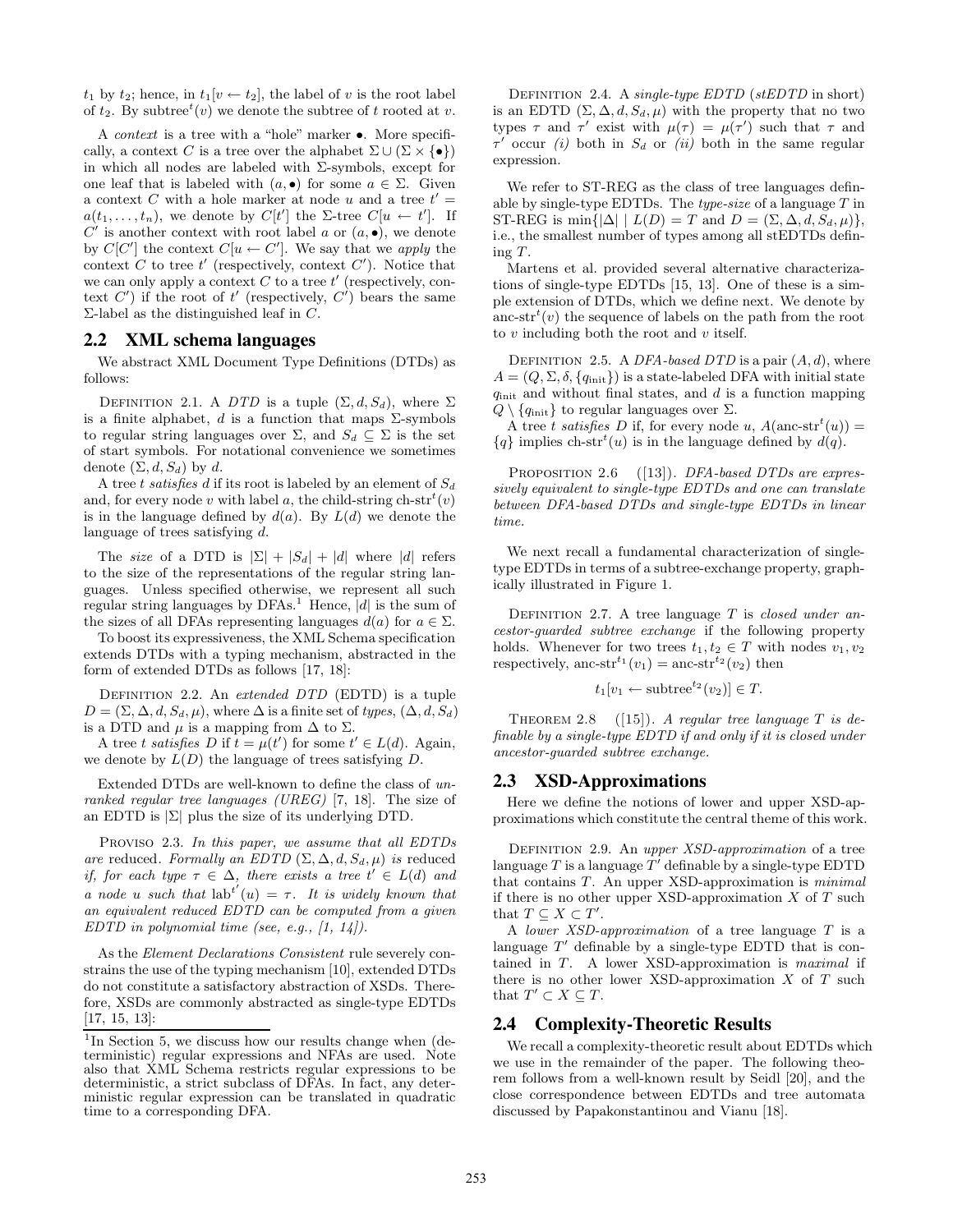$t_1$  by  $t_2$ ; hence, in  $t_1[v \leftarrow t_2]$ , the label of v is the root label of  $t_2$ . By subtree<sup>t</sup> $(v)$  we denote the subtree of t rooted at v.

A *context* is a tree with a "hole" marker •. More specifically, a context C is a tree over the alphabet  $\Sigma \cup (\Sigma \times \{\bullet\})$ in which all nodes are labeled with  $\Sigma$ -symbols, except for one leaf that is labeled with  $(a, \bullet)$  for some  $a \in \Sigma$ . Given a context C with a hole marker at node u and a tree  $t' =$  $a(t_1,...,t_n)$ , we denote by  $C[t']$  the *Σ*-tree  $C[u \leftarrow t']$ . If  $C'$  is another context with root label a or  $(a, \bullet)$ , we denote by  $C[C']$  the context  $C[u \leftarrow C']$ . We say that we *apply* the context  $C$  to tree  $t'$  (respectively, context  $C'$ ). Notice that we can only apply a context  $C$  to a tree  $t'$  (respectively, context  $C'$ ) if the root of t' (respectively,  $C'$ ) bears the same Σ-label as the distinguished leaf in C.

## **2.2 XML schema languages**

We abstract XML Document Type Definitions (DTDs) as follows:

DEFINITION 2.1. A *DTD* is a tuple  $(\Sigma, d, S_d)$ , where  $\Sigma$ is a finite alphabet, d is a function that maps  $\Sigma$ -symbols to regular string languages over  $\Sigma$ , and  $S_d \subseteq \Sigma$  is the set of start symbols. For notational convenience we sometimes denote  $(\Sigma, d, S_d)$  by d.

A tree t *satisfies* d if its root is labeled by an element of  $S_d$ and, for every node v with label a, the child-string ch-str<sup>t</sup> $(v)$ is in the language defined by  $d(a)$ . By  $L(d)$  we denote the language of trees satisfying d.

The *size* of a DTD is  $|\Sigma| + |S_d| + |d|$  where |d| refers to the size of the representations of the regular string languages. Unless specified otherwise, we represent all such regular string languages by DFAs.<sup>1</sup> Hence,  $|d|$  is the sum of the sizes of all DFAs representing languages  $d(a)$  for  $a \in \Sigma$ .

To boost its expressiveness, the XML Schema specification extends DTDs with a typing mechanism, abstracted in the form of extended DTDs as follows [17, 18]:

Definition 2.2. An *extended DTD* (EDTD) is a tuple  $D = (\Sigma, \Delta, d, S_d, \mu)$ , where  $\Delta$  is a finite set of *types*,  $(\Delta, d, S_d)$ is a DTD and  $\mu$  is a mapping from  $\Delta$  to  $\Sigma$ .

A tree t satisfies D if  $t = \mu(t')$  for some  $t' \in L(d)$ . Again, we denote by  $L(D)$  the language of trees satisfying D.

Extended DTDs are well-known to define the class of *unranked regular tree languages (UREG)* [7, 18]. The size of an EDTD is  $|\Sigma|$  plus the size of its underlying DTD.

Proviso 2.3. *In this paper, we assume that all EDTDs are* reduced. Formally an EDTD  $(\Sigma, \Delta, d, S_d, \mu)$  is reduced *if, for each type*  $\tau \in \Delta$ *, there exists a tree*  $t' \in L(d)$  *and a* node *u* such that  $\mathrm{lab}^{t'}(u) = \tau$ . It is widely known that *an equivalent reduced EDTD can be computed from a given EDTD in polynomial time (see, e.g., [1, 14]).*

As the *Element Declarations Consistent* rule severely constrains the use of the typing mechanism [10], extended DTDs do not constitute a satisfactory abstraction of XSDs. Therefore, XSDs are commonly abstracted as single-type EDTDs [17, 15, 13]:

Definition 2.4. A *single-type EDTD* (*stEDTD* in short) is an EDTD  $(\Sigma, \Delta, d, S_d, \mu)$  with the property that no two types  $\tau$  and  $\tau'$  exist with  $\mu(\tau) = \mu(\tau')$  such that  $\tau$  and  $\tau'$  occur *(i)* both in  $S_d$  or *(ii)* both in the same regular expression.

We refer to ST-REG as the class of tree languages definable by single-type EDTDs. The *type-size* of a language T in ST-REG is min{ $|\Delta| | L(D) = T$  and  $D = (\Sigma, \Delta, d, S_d, \mu)$ }, i.e., the smallest number of types among all stEDTDs defining T.

Martens et al. provided several alternative characterizations of single-type EDTDs [15, 13]. One of these is a simple extension of DTDs, which we define next. We denote by anc-str<sup> $t(v)$ </sup> the sequence of labels on the path from the root to  $v$  including both the root and  $v$  itself.

DEFINITION 2.5. A *DFA-based DTD* is a pair  $(A, d)$ , where  $A = (Q, \Sigma, \delta, \{q_{\text{init}}\})$  is a state-labeled DFA with initial state  $q<sub>init</sub>$  and without final states, and d is a function mapping  $Q \setminus \{q_{\text{init}}\}$  to regular languages over  $\Sigma$ .

A tree t *satisfies* D if, for every node u,  $A(\text{anc-str}^t(u)) =$  ${q}$  implies ch-str<sup>t</sup>(u) is in the language defined by  $d(q)$ .

Proposition 2.6 ([13]). *DFA-based DTDs are expressively equivalent to single-type EDTDs and one can translate between DFA-based DTDs and single-type EDTDs in linear time.*

We next recall a fundamental characterization of singletype EDTDs in terms of a subtree-exchange property, graphically illustrated in Figure 1.

Definition 2.7. A tree language T is *closed under ancestor-guarded subtree exchange* if the following property holds. Whenever for two trees  $t_1, t_2 \in T$  with nodes  $v_1, v_2$ respectively, anc-str<sup>t<sub>1</sub></sup>( $v_1$ ) = anc-str<sup>t<sub>2</sub></sup>( $v_2$ ) then

$$
t_1[v_1 \leftarrow \text{subtree}^{t_2}(v_2)] \in T.
$$

THEOREM 2.8 ([15]). *A regular tree language T is definable by a single-type EDTD if and only if it is closed under ancestor-guarded subtree exchange.*

#### **2.3 XSD-Approximations**

Here we define the notions of lower and upper XSD-approximations which constitute the central theme of this work.

Definition 2.9. An *upper XSD-approximation* of a tree language  $T$  is a language  $T'$  definable by a single-type EDTD that contains T. An upper XSD-approximation is *minimal* if there is no other upper XSD-approximation  $X$  of  $T$  such that  $T \subseteq X \subset T'$ .

A *lower XSD-approximation* of a tree language T is a language  $T'$  definable by a single-type EDTD that is contained in T. A lower XSD-approximation is *maximal* if there is no other lower XSD-approximation  $X$  of  $T$  such that  $T' \subset X \subseteq T$ .

#### **2.4 Complexity-Theoretic Results**

We recall a complexity-theoretic result about EDTDs which we use in the remainder of the paper. The following theorem follows from a well-known result by Seidl [20], and the close correspondence between EDTDs and tree automata discussed by Papakonstantinou and Vianu [18].

<sup>&</sup>lt;sup>1</sup>In Section 5, we discuss how our results change when (deterministic) regular expressions and NFAs are used. Note also that XML Schema restricts regular expressions to be deterministic, a strict subclass of DFAs. In fact, any deterministic regular expression can be translated in quadratic time to a corresponding DFA.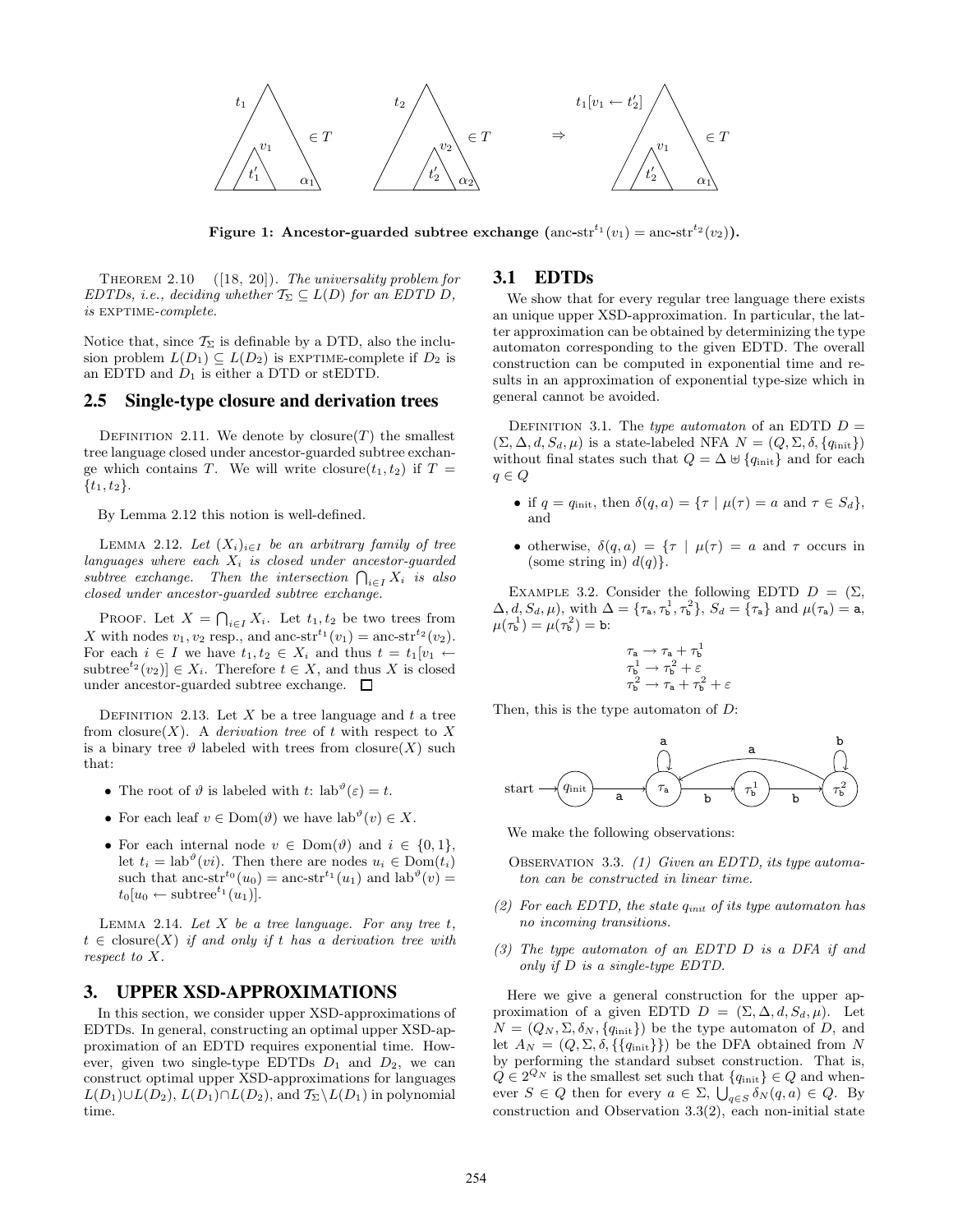

**Figure 1:** Ancestor-guarded subtree exchange  $(\text{anc-str}^{t_1}(v_1) = \text{anc-str}^{t_2}(v_2)).$ 

Theorem 2.10 ([18, 20]). *The universality problem for EDTDs, i.e., deciding whether*  $\mathcal{T}_{\Sigma} \subset L(D)$  *for an EDTD D,*  $is$  EXPTIME-complete.

Notice that, since  $\mathcal{T}_{\Sigma}$  is definable by a DTD, also the inclusion problem  $L(D_1) \subseteq L(D_2)$  is EXPTIME-complete if  $D_2$  is an EDTD and  $D_1$  is either a DTD or stEDTD.

# **2.5 Single-type closure and derivation trees**

DEFINITION 2.11. We denote by  $closure(T)$  the smallest tree language closed under ancestor-guarded subtree exchange which contains T. We will write closure $(t_1, t_2)$  if  $T =$  $\{t_1, t_2\}.$ 

By Lemma 2.12 this notion is well-defined.

LEMMA 2.12. *Let*  $(X_i)_{i \in I}$  *be an arbitrary family of tree languages where each* X<sup>i</sup> *is closed under ancestor-guarded subtree exchange. Then the intersection*  $\bigcap_{i \in I} X_i$  *is also closed under ancestor-guarded subtree exchange.*

PROOF. Let  $X = \bigcap_{i \in I} X_i$ . Let  $t_1, t_2$  be two trees from X with nodes  $v_1, v_2$  resp., and anc-str<sup>t<sub>1</sub></sup> $(v_1) = \text{anc-str}^{t_2}(v_2)$ . For each  $i \in I$  we have  $t_1, t_2 \in X_i$  and thus  $t = t_1[v_1 \leftarrow$ subtree<sup> $t_2$ </sup>(*v*<sub>2</sub>)]  $\in X_i$ . Therefore  $t \in X$ , and thus X is closed under ancestor-guarded subtree exchange.  $\Box$ 

DEFINITION 2.13. Let X be a tree language and t a tree from closure $(X)$ . A *derivation tree* of t with respect to X is a binary tree  $\vartheta$  labeled with trees from closure  $(X)$  such that:

- The root of  $\vartheta$  is labeled with t: lab<sup> $\vartheta(\varepsilon) = t$ .</sup>
- For each leaf  $v \in \text{Dom}(\vartheta)$  we have  $\text{lab}^{\vartheta}(v) \in X$ .
- For each internal node  $v \in Dom(\vartheta)$  and  $i \in \{0,1\},\$ let  $t_i = \text{lab}^{\vartheta}(vi)$ . Then there are nodes  $u_i \in \text{Dom}(t_i)$ such that anc-str<sup>t<sub>0</sub></sup>(u<sub>0</sub>) = anc-str<sup>t<sub>1</sub></sup>(u<sub>1</sub>) and lab<sup> $\vartheta$ </sup>(v) =  $t_0[u_0 \leftarrow \text{subtree}^{t_1}(u_1)].$

Lemma 2.14. *Let* X *be a tree language. For any tree* t*,*  $t \in \text{closure}(X)$  *if and only if t has a derivation tree with respect to* X*.*

## **3. UPPER XSD-APPROXIMATIONS**

In this section, we consider upper XSD-approximations of EDTDs. In general, constructing an optimal upper XSD-approximation of an EDTD requires exponential time. However, given two single-type EDTDs  $D_1$  and  $D_2$ , we can construct optimal upper XSD-approximations for languages  $L(D_1) \cup L(D_2)$ ,  $L(D_1) \cap L(D_2)$ , and  $\mathcal{T}_{\Sigma} \backslash L(D_1)$  in polynomial time.

## **3.1 EDTDs**

We show that for every regular tree language there exists an unique upper XSD-approximation. In particular, the latter approximation can be obtained by determinizing the type automaton corresponding to the given EDTD. The overall construction can be computed in exponential time and results in an approximation of exponential type-size which in general cannot be avoided.

DEFINITION 3.1. The *type automaton* of an EDTD  $D =$  $(\Sigma, \Delta, d, S_d, \mu)$  is a state-labeled NFA  $N = (Q, \Sigma, \delta, \{q_{\text{init}}\})$ without final states such that  $Q = \Delta \oplus \{q_{\text{init}}\}$  and for each  $q \in Q$ 

- if  $q = q_{\text{init}}$ , then  $\delta(q, a) = {\tau | \mu(\tau) = a \text{ and } \tau \in S_d},$ and
- otherwise,  $\delta(q, a) = {\tau \mid \mu(\tau) = a \text{ and } \tau \text{ occurs in}}$ (some string in)  $d(q)$ .

EXAMPLE 3.2. Consider the following EDTD  $D = (\Sigma,$  $(\Delta, d, S_d, \mu)$ , with  $\Delta = {\{\tau_{\mathsf{a}}, \tau_{\mathsf{b}}^1, \tau_{\mathsf{b}}^2\}}$ ,  $S_d = {\{\tau_{\mathsf{a}}\}}$  and  $\mu(\tau_{\mathsf{a}}) = \mathsf{a}$ ,  $\mu(\tau_{\tt b}^1) = \mu(\tau_{\tt b}^2) = {\tt b}$ :

$$
\begin{array}{l} \tau_{\text{a}}\rightarrow\tau_{\text{a}}+\tau_{\text{b}}^{1}\\ \tau_{\text{b}}^{1}\rightarrow\tau_{\text{b}}^{2}+\varepsilon\\ \tau_{\text{b}}^{2}\rightarrow\tau_{\text{a}}+\tau_{\text{b}}^{2}+\varepsilon \end{array}
$$

Then, this is the type automaton of D:



We make the following observations:

- Observation 3.3. *(1) Given an EDTD, its type automaton can be constructed in linear time.*
- *(2) For each EDTD, the state* q*init of its type automaton has no incoming transitions.*
- *(3) The type automaton of an EDTD* D *is a DFA if and only if* D *is a single-type EDTD.*

Here we give a general construction for the upper approximation of a given EDTD  $D = (\Sigma, \Delta, d, S_d, \mu)$ . Let  $N = (Q_N, \Sigma, \delta_N, \{q_{\text{init}}\})$  be the type automaton of D, and let  $A_N = (Q, \Sigma, \delta, \{\{q_{\text{init}}\}\})$  be the DFA obtained from N by performing the standard subset construction. That is,  $Q \in 2^{Q_N}$  is the smallest set such that  $\{q_{\text{init}}\} \in Q$  and whenever  $S \in Q$  then for every  $a \in \Sigma$ ,  $\bigcup_{q \in S} \delta_N(q, a) \in Q$ . By construction and Observation  $3.3(2)$ , each non-initial state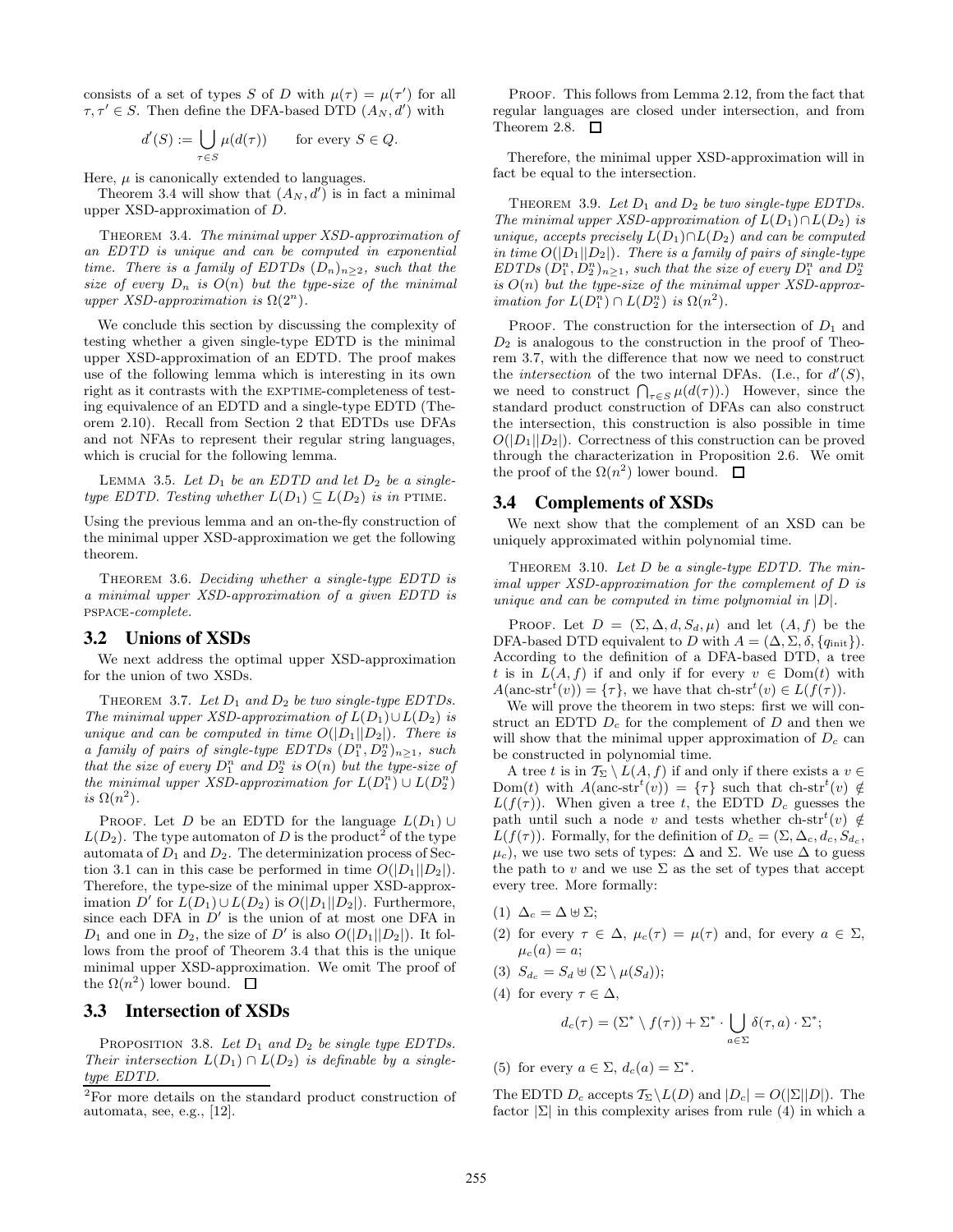consists of a set of types S of D with  $\mu(\tau) = \mu(\tau')$  for all  $\tau, \tau' \in S$ . Then define the DFA-based DTD  $(A_N, d')$  with

$$
d'(S) := \bigcup_{\tau \in S} \mu(d(\tau)) \quad \text{for every } S \in Q.
$$

Here,  $\mu$  is canonically extended to languages.

Theorem 3.4 will show that  $(A_N, d')$  is in fact a minimal upper XSD-approximation of D.

Theorem 3.4. *The minimal upper XSD-approximation of an EDTD is unique and can be computed in exponential time. There is a family of EDTDs*  $(D_n)_{n>2}$ *, such that the size of every*  $D_n$  *is*  $O(n)$  *but the type-size of the minimal upper XSD-approximation is*  $\Omega(2^n)$ *.* 

We conclude this section by discussing the complexity of testing whether a given single-type EDTD is the minimal upper XSD-approximation of an EDTD. The proof makes use of the following lemma which is interesting in its own right as it contrasts with the EXPTIME-completeness of testing equivalence of an EDTD and a single-type EDTD (Theorem 2.10). Recall from Section 2 that EDTDs use DFAs and not NFAs to represent their regular string languages, which is crucial for the following lemma.

LEMMA 3.5. Let  $D_1$  be an EDTD and let  $D_2$  be a single*type EDTD. Testing whether*  $L(D_1) \subseteq L(D_2)$  *is in* PTIME.

Using the previous lemma and an on-the-fly construction of the minimal upper XSD-approximation we get the following theorem.

Theorem 3.6. *Deciding whether a single-type EDTD is a minimal upper XSD-approximation of a given EDTD is* pspace*-complete.*

#### **3.2 Unions of XSDs**

We next address the optimal upper XSD-approximation for the union of two XSDs.

Theorem 3.7. *Let* D<sup>1</sup> *and* D<sup>2</sup> *be two single-type EDTDs. The minimal upper XSD-approximation of*  $L(D_1) \cup L(D_2)$  *is unique and can be computed in time*  $O(|D_1||D_2|)$ *. There is a family of pairs of single-type EDTDs*  $(D_1^n, D_2^n)_{n \geq 1}$ , such that the size of every  $D_1^n$  and  $D_2^n$  is  $O(n)$  but the type-size of *the minimal upper XSD-approximation for*  $L(D_1^n) \cup L(D_2^n)$ *is*  $\Omega(n^2)$ .

PROOF. Let D be an EDTD for the language  $L(D_1) \cup$  $L(D_2)$ . The type automaton of D is the product<sup>2</sup> of the type automata of  $D_1$  and  $D_2$ . The determinization process of Section 3.1 can in this case be performed in time  $O(|D_1||D_2|)$ . Therefore, the type-size of the minimal upper XSD-approximation D' for  $\hat{L}(D_1) \cup L(D_2)$  is  $O(|D_1||\hat{D_2}|)$ . Furthermore, since each DFA in  $D'$  is the union of at most one DFA in  $D_1$  and one in  $D_2$ , the size of D' is also  $O(|D_1||D_2|)$ . It follows from the proof of Theorem 3.4 that this is the unique minimal upper XSD-approximation. We omit The proof of the  $\Omega(n^2)$  lower bound.  $\square$ 

## **3.3 Intersection of XSDs**

PROPOSITION 3.8. Let  $D_1$  and  $D_2$  be single type EDTDs. *Their intersection*  $L(D_1) \cap L(D_2)$  *is definable by a singletype EDTD.*

PROOF. This follows from Lemma 2.12, from the fact that regular languages are closed under intersection, and from Theorem 2.8.  $\Box$ 

Therefore, the minimal upper XSD-approximation will in fact be equal to the intersection.

THEOREM 3.9. Let  $D_1$  and  $D_2$  be two single-type EDTDs. *The minimal upper XSD-approximation of*  $L(D_1) \cap L(D_2)$  *is unique, accepts precisely*  $L(D_1) \cap L(D_2)$  *and can be computed in time*  $O(|D_1||D_2|)$ *. There is a family of pairs of single-type*  $EDTDs$   $(D_1^n, D_2^n)_{n \geq 1}$ , such that the size of every  $D_1^n$  and  $D_2^n$ *is* O(n) *but the type-size of the minimal upper XSD-approximation for*  $L(D_1^n) \cap L(D_2^n)$  *is*  $\Omega(n^2)$ *.* 

PROOF. The construction for the intersection of  $D_1$  and  $D_2$  is analogous to the construction in the proof of Theorem 3.7, with the difference that now we need to construct the *intersection* of the two internal DFAs. (I.e., for  $d'(S)$ , we need to construct  $\bigcap_{\tau \in S} \mu(d(\tau))$ .) However, since the standard product construction of DFAs can also construct the intersection, this construction is also possible in time  $O(|D_1||D_2|)$ . Correctness of this construction can be proved through the characterization in Proposition 2.6. We omit the proof of the  $\Omega(n^2)$  lower bound.  $\square$ 

## **3.4 Complements of XSDs**

We next show that the complement of an XSD can be uniquely approximated within polynomial time.

Theorem 3.10. *Let* D *be a single-type EDTD. The minimal upper XSD-approximation for the complement of* D *is unique and can be computed in time polynomial in* |D|*.*

PROOF. Let  $D = (\Sigma, \Delta, d, S_d, \mu)$  and let  $(A, f)$  be the DFA-based DTD equivalent to D with  $A = (\Delta, \Sigma, \delta, \{q_{\text{init}}\}).$ According to the definition of a DFA-based DTD, a tree t is in  $L(A, f)$  if and only if for every  $v \in Dom(t)$  with  $A(\text{anc-str}^{\tilde{t}}(v)) = {\tau},$  we have that  $\text{ch-str}^{\tilde{t}}(v) \in L(f(\tau)).$ 

We will prove the theorem in two steps: first we will construct an EDTD  $D_c$  for the complement of D and then we will show that the minimal upper approximation of  $D_c$  can be constructed in polynomial time.

A tree t is in  $\mathcal{T}_{\Sigma} \setminus L(A, f)$  if and only if there exists a  $v \in$ Dom(t) with  $A(\text{anc-str}^t(v)) = \{\tau\}$  such that ch-str<sup>t</sup>(v)  $\notin$  $L(f(\tau))$ . When given a tree t, the EDTD  $D_c$  guesses the path until such a node v and tests whether ch-str<sup>t</sup>(v)  $\notin$  $L(f(\tau))$ . Formally, for the definition of  $D_c = (\Sigma, \Delta_c, d_c, S_{d_c})$  $\mu_c$ ), we use two sets of types:  $\Delta$  and  $\Sigma$ . We use  $\Delta$  to guess the path to  $v$  and we use  $\Sigma$  as the set of types that accept every tree. More formally:

- (1)  $\Delta_c = \Delta \boxplus \Sigma;$
- (2) for every  $\tau \in \Delta$ ,  $\mu_c(\tau) = \mu(\tau)$  and, for every  $a \in \Sigma$ ,  $\mu_c(a) = a;$
- (3)  $S_{d_c} = S_d \oplus (\Sigma \setminus \mu(S_d));$
- (4) for every  $\tau \in \Delta$ ,

$$
d_c(\tau) = (\Sigma^* \setminus f(\tau)) + \Sigma^* \cdot \bigcup_{a \in \Sigma} \delta(\tau, a) \cdot \Sigma^*;
$$

(5) for every  $a \in \Sigma$ ,  $d_c(a) = \Sigma^*$ .

The EDTD  $D_c$  accepts  $\mathcal{T}_{\Sigma} \backslash L(D)$  and  $|D_c| = O(|\Sigma||D|)$ . The factor  $|\Sigma|$  in this complexity arises from rule (4) in which a

<sup>2</sup>For more details on the standard product construction of automata, see, e.g., [12].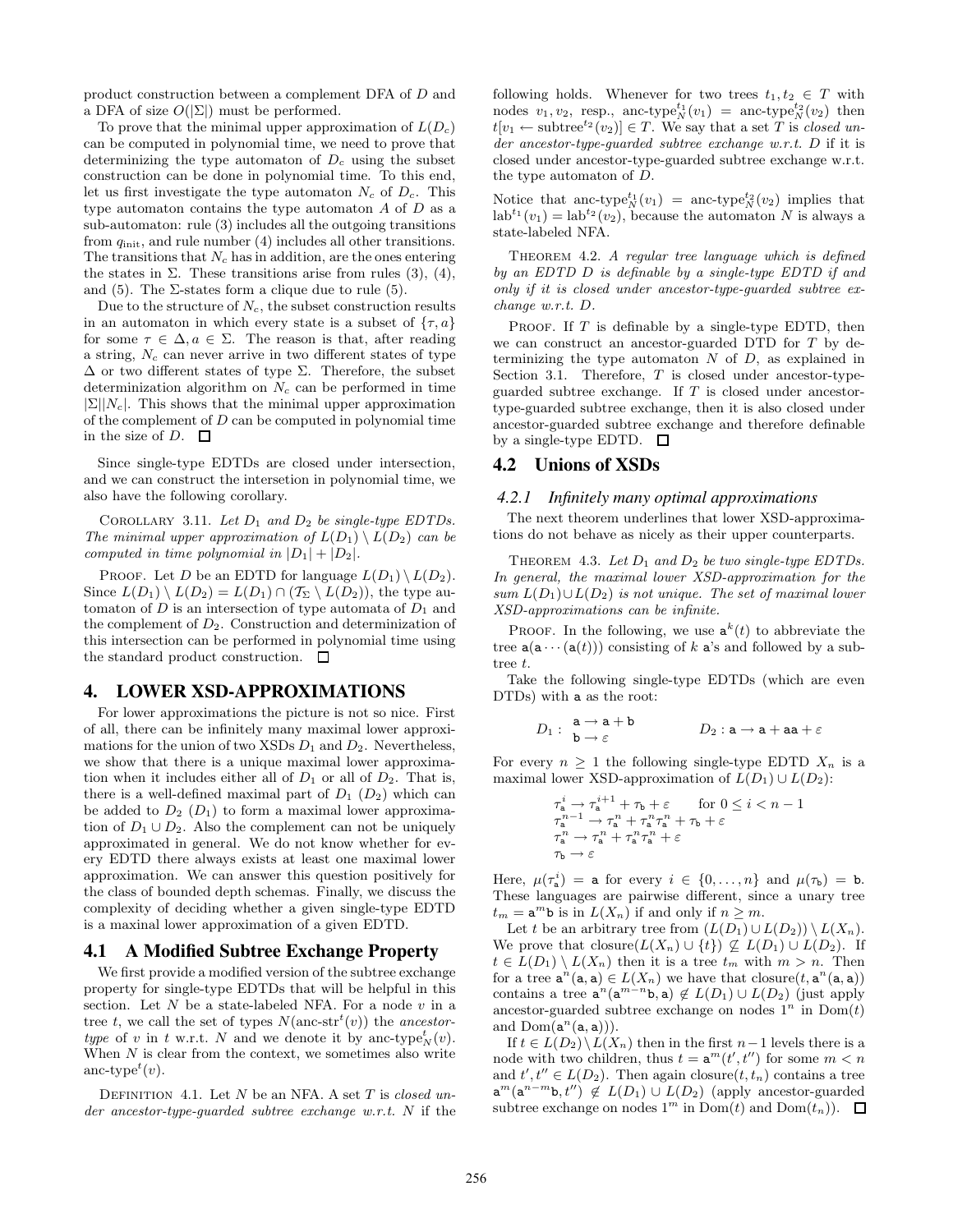product construction between a complement DFA of D and a DFA of size  $O(|\Sigma|)$  must be performed.

To prove that the minimal upper approximation of  $L(D<sub>c</sub>)$ can be computed in polynomial time, we need to prove that determinizing the type automaton of  $D<sub>c</sub>$  using the subset construction can be done in polynomial time. To this end, let us first investigate the type automaton  $N_c$  of  $D_c$ . This type automaton contains the type automaton A of D as a sub-automaton: rule (3) includes all the outgoing transitions from  $q_{\text{init}}$ , and rule number (4) includes all other transitions. The transitions that  $N_c$  has in addition, are the ones entering the states in  $\Sigma$ . These transitions arise from rules (3), (4), and (5). The  $\Sigma$ -states form a clique due to rule (5).

Due to the structure of  $N_c$ , the subset construction results in an automaton in which every state is a subset of  $\{\tau, a\}$ for some  $\tau \in \Delta, a \in \Sigma$ . The reason is that, after reading a string,  $N_c$  can never arrive in two different states of type  $Δ$  or two different states of type  $Σ$ . Therefore, the subset determinization algorithm on  $N_c$  can be performed in time  $|\Sigma||N_c|$ . This shows that the minimal upper approximation of the complement of  $D$  can be computed in polynomial time in the size of  $D.$   $\qed$ 

Since single-type EDTDs are closed under intersection, and we can construct the intersetion in polynomial time, we also have the following corollary.

COROLLARY 3.11. *Let*  $D_1$  *and*  $D_2$  *be single-type EDTDs. The minimal upper approximation of*  $L(D_1) \setminus L(D_2)$  *can be computed in time polynomial in*  $|D_1| + |D_2|$ *.* 

PROOF. Let D be an EDTD for language  $L(D_1) \setminus L(D_2)$ . Since  $L(D_1) \setminus L(D_2) = L(D_1) \cap (\mathcal{T}_{\Sigma} \setminus L(D_2))$ , the type automaton of  $D$  is an intersection of type automata of  $D_1$  and the complement of  $D_2$ . Construction and determinization of this intersection can be performed in polynomial time using the standard product construction.  $\Box$ 

# **4. LOWER XSD-APPROXIMATIONS**

For lower approximations the picture is not so nice. First of all, there can be infinitely many maximal lower approximations for the union of two XSDs  $D_1$  and  $D_2$ . Nevertheless, we show that there is a unique maximal lower approximation when it includes either all of  $D_1$  or all of  $D_2$ . That is, there is a well-defined maximal part of  $D_1$   $(D_2)$  which can be added to  $D_2$  ( $D_1$ ) to form a maximal lower approximation of  $D_1 \cup D_2$ . Also the complement can not be uniquely approximated in general. We do not know whether for every EDTD there always exists at least one maximal lower approximation. We can answer this question positively for the class of bounded depth schemas. Finally, we discuss the complexity of deciding whether a given single-type EDTD is a maxinal lower approximation of a given EDTD.

## **4.1 A Modified Subtree Exchange Property**

We first provide a modified version of the subtree exchange property for single-type EDTDs that will be helpful in this section. Let  $N$  be a state-labeled NFA. For a node  $v$  in a tree t, we call the set of types  $N(\text{anc-str}^t(v))$  the *ancestortype* of v in t w.r.t. N and we denote it by anc-type<sup>t</sup><sub>N</sub> $(v)$ . When  $N$  is clear from the context, we sometimes also write anc-type<sup> $t$ </sup> $(v)$ .

Definition 4.1. Let N be an NFA. A set T is *closed under ancestor-type-guarded subtree exchange w.r.t.* N if the

following holds. Whenever for two trees  $t_1, t_2 \in T$  with nodes  $v_1, v_2$ , resp., anc-type ${}_{N}^{t_1}(v_1)$  = anc-type ${}_{N}^{t_2}(v_2)$  then  $t[v_1 \leftarrow \text{subtree}^{t_2}(v_2)] \in T$ . We say that a set T is *closed under ancestor-type-guarded subtree exchange w.r.t.* D if it is closed under ancestor-type-guarded subtree exchange w.r.t. the type automaton of D.

Notice that anc-type<sup>t<sub>1</sub></sup> $(v_1)$  = anc-type<sup>t<sub>2</sub></sup><sub>N</sub> $(v_2)$  implies that  $lab^{t_1}(v_1) = lab^{t_2}(v_2)$ , because the automaton N is always a state-labeled NFA.

Theorem 4.2. *A regular tree language which is defined by an EDTD* D *is definable by a single-type EDTD if and only if it is closed under ancestor-type-guarded subtree exchange w.r.t.* D*.*

PROOF. If  $T$  is definable by a single-type EDTD, then we can construct an ancestor-guarded DTD for T by determinizing the type automaton  $N$  of  $D$ , as explained in Section 3.1. Therefore,  $T$  is closed under ancestor-typeguarded subtree exchange. If T is closed under ancestortype-guarded subtree exchange, then it is also closed under ancestor-guarded subtree exchange and therefore definable by a single-type EDTD.  $\Box$ 

## **4.2 Unions of XSDs**

#### *4.2.1 Infinitely many optimal approximations*

The next theorem underlines that lower XSD-approximations do not behave as nicely as their upper counterparts.

THEOREM 4.3. Let  $D_1$  and  $D_2$  be two single-type EDTDs. *In general, the maximal lower XSD-approximation for the*  $sum L(D_1) \cup L(D_2)$  *is not unique. The set of maximal lower XSD-approximations can be infinite.*

PROOF. In the following, we use  $a^{k}(t)$  to abbreviate the tree  $a(a \cdots (a(t)))$  consisting of k a's and followed by a subtree t.

Take the following single-type EDTDs (which are even DTDs) with a as the root:

$$
D_1: \begin{array}{l} \texttt{a} \rightarrow \texttt{a} + \texttt{b} \\ \texttt{b} \rightarrow \varepsilon \end{array} \qquad D_2: \texttt{a} \rightarrow \texttt{a} + \texttt{aa} + \varepsilon
$$

For every  $n \geq 1$  the following single-type EDTD  $X_n$  is a maximal lower XSD-approximation of  $L(D_1) \cup L(D_2)$ :

$$
\begin{array}{l} \tau_\mathrm{a}^i \rightarrow \tau_\mathrm{a}^{i+1} + \tau_\mathrm{b} + \varepsilon ~~ \mathrm{for} ~ 0 \leq i < n-1 \\ \tau_\mathrm{a}^{n-1} \rightarrow \tau_\mathrm{a}^{n} + \tau_\mathrm{a}^{n} \tau_\mathrm{a}^{n} + \tau_\mathrm{b} + \varepsilon \\ \tau_\mathrm{a}^{n} \rightarrow \tau_\mathrm{a}^{n} + \tau_\mathrm{a}^{n} \tau_\mathrm{a}^{n} + \varepsilon \\ \tau_\mathrm{b} \rightarrow \varepsilon \end{array}
$$

Here,  $\mu(\tau_a^i) = \mathbf{a}$  for every  $i \in \{0, ..., n\}$  and  $\mu(\tau_b) = \mathbf{b}$ . These languages are pairwise different, since a unary tree  $t_m = \mathbf{a}^m \mathbf{b}$  is in  $L(X_n)$  if and only if  $n \geq m$ .

Let t be an arbitrary tree from  $(L(D_1) \cup L(D_2)) \setminus L(X_n)$ . We prove that closure $(L(X_n) \cup \{t\}) \nsubseteq L(D_1) \cup L(D_2)$ . If  $t \in L(D_1) \setminus L(X_n)$  then it is a tree  $t_m$  with  $m > n$ . Then for a tree  $a^n(a, a) \in L(X_n)$  we have that closure  $(t, a^n(a, a))$ contains a tree  $a^n(a^{m-n}b, a) \notin L(D_1) \cup L(D_2)$  (just apply ancestor-guarded subtree exchange on nodes  $1^n$  in  $Dom(t)$ and  $Dom(a^n(a, a))$ .

If  $t \in L(D_2) \backslash L(X_n)$  then in the first  $n-1$  levels there is a node with two children, thus  $t = \mathbf{a}^m(t', t'')$  for some  $m < n$ and  $t', t'' \in L(D_2)$ . Then again closure $(t, t_n)$  contains a tree  $\mathbf{a}^{m}(\mathbf{a}^{n-m}\mathbf{b}, t'') \notin L(D_1) \cup L(D_2)$  (apply ancestor-guarded subtree exchange on nodes  $1^m$  in  $Dom(t)$  and  $Dom(t_n)$ .  $\Box$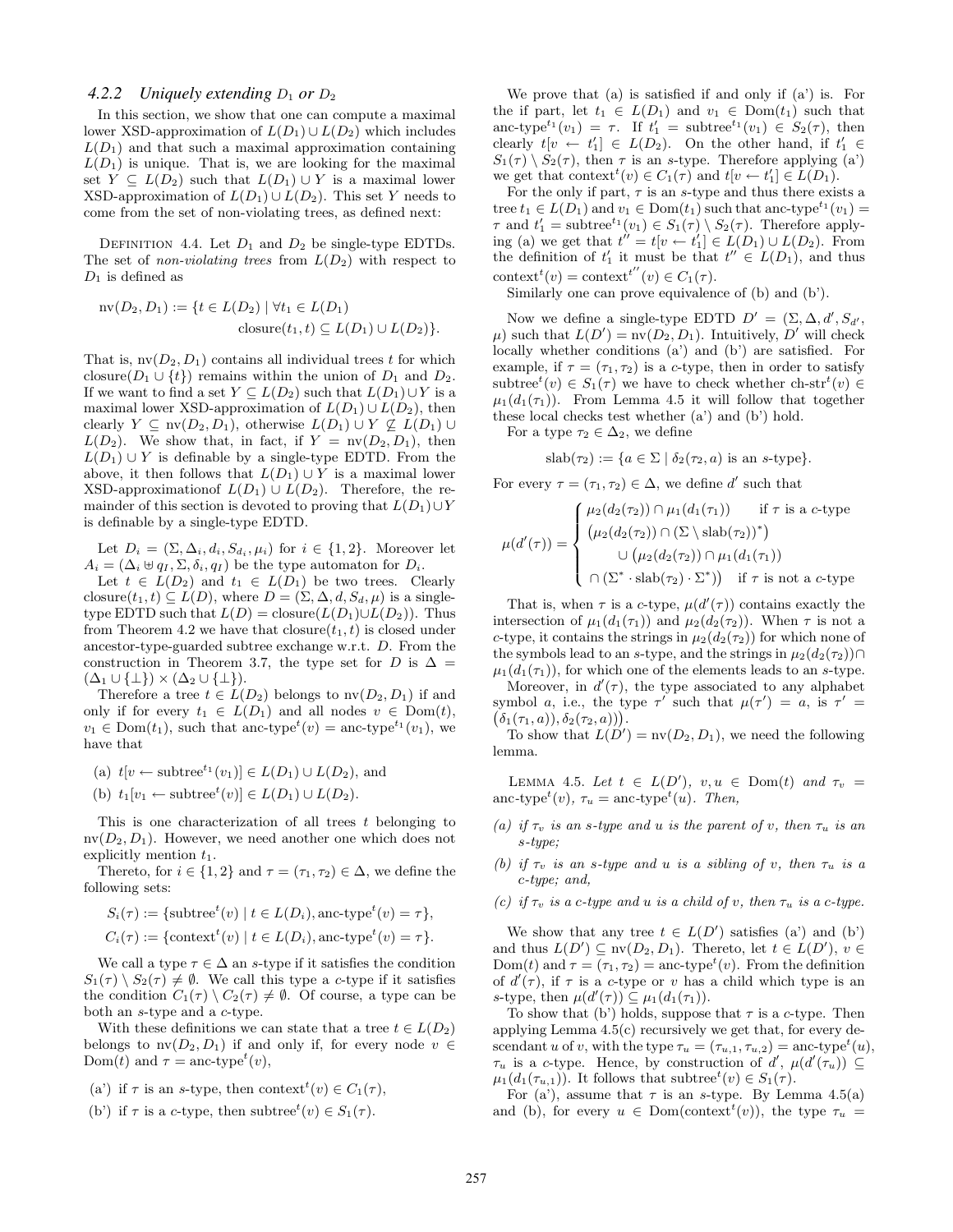#### 4.2.2 Uniquely extending  $D_1$  or  $D_2$

In this section, we show that one can compute a maximal lower XSD-approximation of  $L(D_1) \cup L(D_2)$  which includes  $L(D_1)$  and that such a maximal approximation containing  $L(D_1)$  is unique. That is, we are looking for the maximal set  $Y \subseteq L(D_2)$  such that  $L(D_1) \cup Y$  is a maximal lower XSD-approximation of  $L(D_1) \cup L(D_2)$ . This set Y needs to come from the set of non-violating trees, as defined next:

DEFINITION 4.4. Let  $D_1$  and  $D_2$  be single-type EDTDs. The set of *non-violating trees* from  $L(D_2)$  with respect to  $D_1$  is defined as

$$
nv(D_2, D_1) := \{t \in L(D_2) \mid \forall t_1 \in L(D_1) closure(t_1, t) \subseteq L(D_1) \cup L(D_2)\}.
$$

That is,  $nv(D_2, D_1)$  contains all individual trees t for which closure( $D_1 \cup \{t\}$ ) remains within the union of  $D_1$  and  $D_2$ . If we want to find a set  $Y \subseteq L(D_2)$  such that  $L(D_1) \cup Y$  is a maximal lower XSD-approximation of  $L(D_1) \cup L(D_2)$ , then clearly  $Y \subseteq \text{nv}(D_2, D_1)$ , otherwise  $L(D_1) \cup Y \nsubseteq L(D_1) \cup$  $L(D_2)$ . We show that, in fact, if  $Y = \text{nv}(D_2, D_1)$ , then  $L(D_1) \cup Y$  is definable by a single-type EDTD. From the above, it then follows that  $L(D_1) \cup Y$  is a maximal lower XSD-approximationof  $L(D_1) \cup L(D_2)$ . Therefore, the remainder of this section is devoted to proving that  $L(D_1) \cup Y$ is definable by a single-type EDTD.

Let  $D_i = (\Sigma, \Delta_i, d_i, S_{d_i}, \mu_i)$  for  $i \in \{1, 2\}$ . Moreover let  $A_i = (\Delta_i \oplus q_I, \Sigma, \delta_i, q_I)$  be the type automaton for  $D_i$ .

Let  $t \in L(D_2)$  and  $t_1 \in L(D_1)$  be two trees. Clearly closure $(t_1, t) \subseteq L(D)$ , where  $D = (\Sigma, \Delta, d, S_d, \mu)$  is a singletype EDTD such that  $L(D) = \text{closure}(L(D_1) \cup L(D_2))$ . Thus from Theorem 4.2 we have that closure $(t_1, t)$  is closed under ancestor-type-guarded subtree exchange w.r.t. D. From the construction in Theorem 3.7, the type set for D is  $\Delta$  =  $(\Delta_1 \cup {\{\perp\}}) \times (\Delta_2 \cup {\{\perp\}}).$ 

Therefore a tree  $t \in L(D_2)$  belongs to  $\text{nv}(D_2, D_1)$  if and only if for every  $t_1 \in L(D_1)$  and all nodes  $v \in Dom(t)$ ,  $v_1 \in \text{Dom}(t_1)$ , such that anc-type<sup>t</sup> $(v) = \text{anc-type}^{t_1}(v_1)$ , we have that

- (a)  $t[v \leftarrow \text{subtree}^{t_1}(v_1)] \in L(D_1) \cup L(D_2)$ , and
- (b)  $t_1[v_1 \leftarrow \text{subtree}^t(v)] \in L(D_1) \cup L(D_2).$

This is one characterization of all trees  $t$  belonging to  $nv(D_2, D_1)$ . However, we need another one which does not explicitly mention  $t_1$ .

Thereto, for  $i \in \{1,2\}$  and  $\tau = (\tau_1, \tau_2) \in \Delta$ , we define the following sets:

$$
S_i(\tau) := \{ \text{subtree}^t(v) \mid t \in L(D_i), \text{anc-type}^t(v) = \tau \},
$$
  

$$
C_i(\tau) := \{ \text{context}^t(v) \mid t \in L(D_i), \text{anc-type}^t(v) = \tau \}.
$$

We call a type  $\tau \in \Delta$  an s-type if it satisfies the condition  $S_1(\tau) \setminus S_2(\tau) \neq \emptyset$ . We call this type a c-type if it satisfies the condition  $C_1(\tau) \setminus C_2(\tau) \neq \emptyset$ . Of course, a type can be both an s-type and a c-type.

With these definitions we can state that a tree  $t \in L(D_2)$ belongs to  $nv(D_2, D_1)$  if and only if, for every node  $v \in$  $Dom(t)$  and  $\tau = anc-type^{t}(v)$ ,

- (a') if  $\tau$  is an s-type, then context<sup>t</sup> $(v) \in C_1(\tau)$ ,
- (b') if  $\tau$  is a c-type, then subtree<sup>t</sup> $(v) \in S_1(\tau)$ .

We prove that  $(a)$  is satisfied if and only if  $(a')$  is. For the if part, let  $t_1 \in L(D_1)$  and  $v_1 \in Dom(t_1)$  such that anc-type<sup>t<sub>1</sub></sup>( $v_1$ ) =  $\tau$ . If  $t_1'$  = subtree<sup>t<sub>1</sub></sup>( $v_1$ )  $\in S_2(\tau)$ , then clearly  $t[v \leftarrow t_1'] \in L(D_2)$ . On the other hand, if  $t_1' \in$  $S_1(\tau) \setminus S_2(\tau)$ , then  $\tau$  is an s-type. Therefore applying (a') we get that context<sup> $t$ </sup> $(v) \in C_1(\tau)$  and  $t[v \leftarrow t'_1] \in L(D_1)$ .

For the only if part,  $\tau$  is an s-type and thus there exists a tree  $t_1 \in L(D_1)$  and  $v_1 \in \text{Dom}(t_1)$  such that anc-type<sup> $t_1$ </sup> $(v_1)$  =  $\tau$  and  $t_1' = \text{subtree}^{t_1}(v_1) \in S_1(\tau) \setminus S_2(\tau)$ . Therefore applying (a) we get that  $t'' = t[v \leftarrow t'_1] \in L(D_1) \cup L(D_2)$ . From the definition of  $t_1'$  it must be that  $t'' \in L(D_1)$ , and thus context<sup>t</sup><sup>'</sup>(v) = context<sup>t''</sup>(v)  $\in C_1(\tau)$ .

Similarly one can prove equivalence of (b) and (b').

Now we define a single-type EDTD  $D' = (\Sigma, \Delta, d', S_{d'})$  $\mu$ ) such that  $L(D') = \text{nv}(D_2, D_1)$ . Intuitively,  $D'$  will check locally whether conditions (a') and (b') are satisfied. For example, if  $\tau = (\tau_1, \tau_2)$  is a c-type, then in order to satisfy subtree<sup>t</sup> $(v) \in S_1(\tau)$  we have to check whether ch-str<sup>t</sup> $(v) \in$  $\mu_1(d_1(\tau_1))$ . From Lemma 4.5 it will follow that together these local checks test whether (a') and (b') hold.

For a type  $\tau_2 \in \Delta_2$ , we define

$$
slab(\tau_2) := \{ a \in \Sigma \mid \delta_2(\tau_2, a) \text{ is an } s\text{-type} \}.
$$

For every  $\tau = (\tau_1, \tau_2) \in \Delta$ , we define d' such that

$$
\mu(d'(\tau)) = \begin{cases} \mu_2(d_2(\tau_2)) \cap \mu_1(d_1(\tau_1)) & \text{if } \tau \text{ is a } c\text{-type} \\ (\mu_2(d_2(\tau_2)) \cap (\Sigma \setminus \text{slab}(\tau_2))^*) \\ \cup (\mu_2(d_2(\tau_2)) \cap \mu_1(d_1(\tau_1)) \\ \cap (\Sigma^* \cdot \text{slab}(\tau_2) \cdot \Sigma^*)) & \text{if } \tau \text{ is not a } c\text{-type} \end{cases}
$$

That is, when  $\tau$  is a c-type,  $\mu(d'(\tau))$  contains exactly the intersection of  $\mu_1(d_1(\tau_1))$  and  $\mu_2(d_2(\tau_2))$ . When  $\tau$  is not a c-type, it contains the strings in  $\mu_2(d_2(\tau_2))$  for which none of the symbols lead to an s-type, and the strings in  $\mu_2(d_2(\tau_2))\cap$  $\mu_1(d_1(\tau_1))$ , for which one of the elements leads to an s-type.

Moreover, in  $d'(\tau)$ , the type associated to any alphabet symbol *a*, i.e., the type  $\tau'$  such that  $\mu(\tau') = a$ , is  $\tau' = (\delta_1(\tau_1, a)), \delta_2(\tau_2, a))$ .  $\delta_1(\tau_1, a), \delta_2(\tau_2, a))$ .

To show that  $L(D') = \text{nv}(D_2, D_1)$ , we need the following lemma.

LEMMA 4.5. Let  $t \in L(D')$ ,  $v, u \in Dom(t)$  and  $\tau_v =$  $\text{anc-type}^t(v)$ ,  $\tau_u = \text{anc-type}^t(u)$ . Then,

- *(a) if*  $\tau_v$  *is an s-type and u is the parent of v, then*  $\tau_u$  *is an* s*-type;*
- *(b) if*  $\tau_v$  *is an s-type and u is a sibling of v, then*  $\tau_u$  *is a* c*-type; and,*
- *(c)* if  $\tau_v$  *is a c-type and u is a child of v, then*  $\tau_u$  *is a c-type.*

We show that any tree  $t \in L(D')$  satisfies (a') and (b') and thus  $L(D') \subseteq \text{nv}(D_2, D_1)$ . Thereto, let  $t \in L(D')$ ,  $v \in$  $Dom(t)$  and  $\tau = (\tau_1, \tau_2)$  = anc-type<sup>t</sup>(v). From the definition of  $d'(\tau)$ , if  $\tau$  is a c-type or v has a child which type is an s-type, then  $\mu(d'(\tau)) \subseteq \mu_1(d_1(\tau_1)).$ 

To show that (b') holds, suppose that  $\tau$  is a c-type. Then applying Lemma 4.5(c) recursively we get that, for every descendant u of v, with the type  $\tau_u = (\tau_{u,1}, \tau_{u,2}) = \text{anc-type}^t(u)$ ,  $\tau_u$  is a c-type. Hence, by construction of d',  $\mu(d'(\tau_u)) \subseteq$  $\mu_1(d_1(\tau_{u,1}))$ . It follows that subtree<sup>t</sup> $(v) \in S_1(\tau)$ .

For (a'), assume that  $\tau$  is an s-type. By Lemma 4.5(a) and (b), for every  $u \in Dom($ context<sup>t</sup> $(v)$ ), the type  $\tau_u =$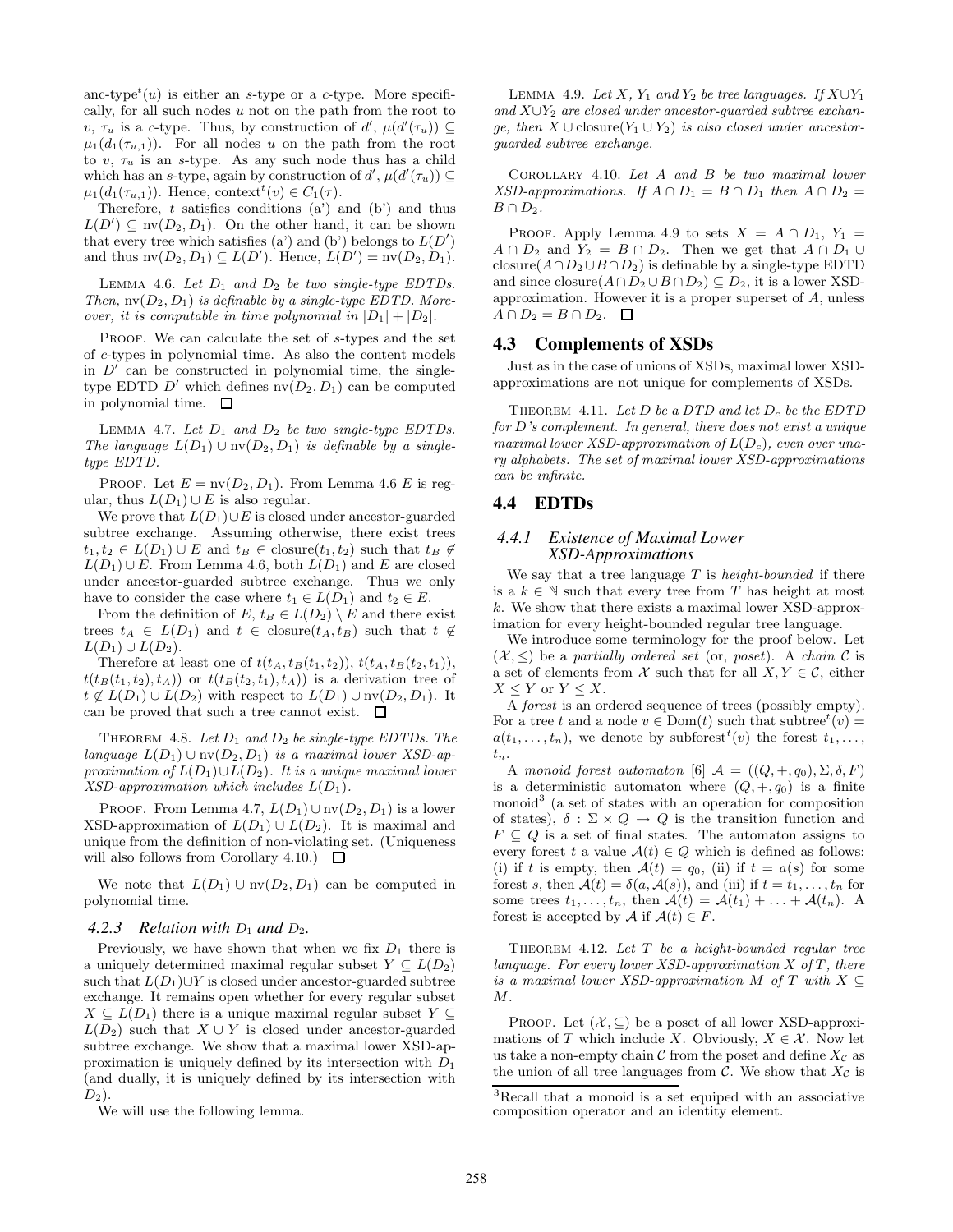anc-type<sup> $t(u)$ </sup> is either an s-type or a c-type. More specifically, for all such nodes  $u$  not on the path from the root to v,  $\tau_u$  is a c-type. Thus, by construction of d',  $\mu(d'(\tau_u)) \subseteq$  $\mu_1(d_1(\tau_{u,1}))$ . For all nodes u on the path from the root to v,  $\tau_u$  is an s-type. As any such node thus has a child which has an s-type, again by construction of  $d', \mu(d'(\tau_u)) \subseteq$  $\mu_1(d_1(\tau_{u,1}))$ . Hence, context<sup>t</sup> $(v) \in C_1(\tau)$ .

Therefore,  $t$  satisfies conditions  $(a')$  and  $(b')$  and thus  $L(D') \subseteq \text{nv}(D_2, D_1)$ . On the other hand, it can be shown that every tree which satisfies (a') and (b') belongs to  $L(D')$ and thus  $\text{nv}(D_2, D_1) \subseteq L(D')$ . Hence,  $L(D') = \text{nv}(D_2, D_1)$ .

LEMMA 4.6. Let  $D_1$  and  $D_2$  be two single-type EDTDs. Then,  $\text{nv}(D_2, D_1)$  *is definable by a single-type EDTD. Moreover, it is computable in time polynomial in*  $|D_1| + |D_2|$ *.* 

PROOF. We can calculate the set of s-types and the set of c-types in polynomial time. As also the content models in  $D'$  can be constructed in polynomial time, the singletype EDTD  $D'$  which defines  $\text{nv}(D_2, D_1)$  can be computed in polynomial time.  $\Box$ 

LEMMA 4.7. Let  $D_1$  and  $D_2$  be two single-type EDTDs. *The language*  $L(D_1) \cup \text{nv}(D_2, D_1)$  *is definable by a singletype EDTD.*

PROOF. Let  $E = \text{nv}(D_2, D_1)$ . From Lemma 4.6 E is regular, thus  $L(D_1) \cup E$  is also regular.

We prove that  $L(D_1) \cup E$  is closed under ancestor-guarded subtree exchange. Assuming otherwise, there exist trees  $t_1, t_2 \in L(D_1) \cup E$  and  $t_B \in \text{closure}(t_1, t_2)$  such that  $t_B \notin$  $L(D_1) \cup E$ . From Lemma 4.6, both  $L(D_1)$  and E are closed under ancestor-guarded subtree exchange. Thus we only have to consider the case where  $t_1 \in L(D_1)$  and  $t_2 \in E$ .

From the definition of  $E, t_B \in L(D_2) \setminus E$  and there exist trees  $t_A \in L(D_1)$  and  $t \in \text{closure}(t_A, t_B)$  such that  $t \notin$  $L(D_1) \cup L(D_2)$ .

Therefore at least one of  $t(t_A, t_B(t_1, t_2)), t(t_A, t_B(t_2, t_1)),$  $t(t_B(t_1, t_2), t_A))$  or  $t(t_B(t_2, t_1), t_A))$  is a derivation tree of  $t \notin L(D_1) \cup L(D_2)$  with respect to  $L(D_1) \cup \text{nv}(D_2, D_1)$ . It can be proved that such a tree cannot exist.  $\Box$ 

THEOREM 4.8. Let  $D_1$  and  $D_2$  be single-type EDTDs. The *language*  $L(D_1) \cup \text{nv}(D_2, D_1)$  *is a maximal lower XSD-approximation of*  $L(D_1) \cup L(D_2)$ *. It is a unique maximal lower XSD-approximation which includes* L(D1)*.*

PROOF. From Lemma 4.7,  $L(D_1) \cup \text{nv}(D_2, D_1)$  is a lower XSD-approximation of  $L(D_1) \cup L(D_2)$ . It is maximal and unique from the definition of non-violating set. (Uniqueness will also follows from Corollary 4.10.)  $\Box$ 

We note that  $L(D_1) \cup \text{nv}(D_2, D_1)$  can be computed in polynomial time.

#### 4.2.3 Relation with  $D_1$  and  $D_2$ .

Previously, we have shown that when we fix  $D_1$  there is a uniquely determined maximal regular subset  $Y \subseteq L(D_2)$ such that  $L(D_1) \cup Y$  is closed under ancestor-guarded subtree exchange. It remains open whether for every regular subset  $X \subseteq L(D_1)$  there is a unique maximal regular subset  $Y \subseteq$  $L(D_2)$  such that  $X \cup Y$  is closed under ancestor-guarded subtree exchange. We show that a maximal lower XSD-approximation is uniquely defined by its intersection with  $D_1$ (and dually, it is uniquely defined by its intersection with  $D_2$ ).

We will use the following lemma.

LEMMA 4.9. *Let*  $X$ ,  $Y_1$  *and*  $Y_2$  *be tree languages.* If  $X \cup Y_1$ *and* X∪Y<sup>2</sup> *are closed under ancestor-guarded subtree exchange, then*  $X \cup \text{closure}(Y_1 \cup Y_2)$  *is also closed under ancestorguarded subtree exchange.*

Corollary 4.10. *Let* A *and* B *be two maximal lower XSD-approximations. If*  $A \cap D_1 = B \cap D_1$  *then*  $A \cap D_2 =$  $B \cap D_2$ .

PROOF. Apply Lemma 4.9 to sets  $X = A \cap D_1$ ,  $Y_1 =$  $A \cap D_2$  and  $Y_2 = B \cap D_2$ . Then we get that  $A \cap D_1 \cup$ closure( $A \cap D_2 \cup B \cap D_2$ ) is definable by a single-type EDTD and since  $\text{closure}(A \cap D_2 \cup B \cap D_2) \subseteq D_2$ , it is a lower XSDapproximation. However it is a proper superset of A, unless  $A \cap D_2 = B \cap D_2$ .  $\Box$ 

#### **4.3 Complements of XSDs**

Just as in the case of unions of XSDs, maximal lower XSDapproximations are not unique for complements of XSDs.

THEOREM 4.11. Let  $D$  be a DTD and let  $D_c$  be the EDTD *for* D*'s complement. In general, there does not exist a unique maximal lower XSD-approximation of* L(Dc)*, even over unary alphabets. The set of maximal lower XSD-approximations can be infinite.*

## **4.4 EDTDs**

#### *4.4.1 Existence of Maximal Lower XSD-Approximations*

We say that a tree language T is *height-bounded* if there is a  $k \in \mathbb{N}$  such that every tree from T has height at most k. We show that there exists a maximal lower XSD-approximation for every height-bounded regular tree language.

We introduce some terminology for the proof below. Let  $(X, \leq)$  be a *partially ordered set* (or, *poset*). A *chain* C is a set of elements from X such that for all  $X, Y \in \mathcal{C}$ , either  $X \leq Y$  or  $Y \leq X$ .

A *forest* is an ordered sequence of trees (possibly empty). For a tree t and a node  $v \in \text{Dom}(t)$  such that subtree  $t(v) =$  $a(t_1,\ldots,t_n)$ , we denote by subforest<sup>t</sup> $(v)$  the forest  $t_1,\ldots,t_n$  $t_n$ .

A *monoid forest automaton* [6]  $\mathcal{A} = ((Q, +, q_0), \Sigma, \delta, F)$ is a deterministic automaton where  $(Q, +, q_0)$  is a finite monoid<sup>3</sup> (a set of states with an operation for composition of states),  $\delta : \Sigma \times Q \to Q$  is the transition function and  $F \subseteq Q$  is a set of final states. The automaton assigns to every forest t a value  $A(t) \in Q$  which is defined as follows: (i) if t is empty, then  $A(t) = q_0$ , (ii) if  $t = a(s)$  for some forest s, then  $\mathcal{A}(t) = \delta(a, \mathcal{A}(s))$ , and (iii) if  $t = t_1, \ldots, t_n$  for some trees  $t_1, \ldots, t_n$ , then  $\mathcal{A}(t) = \mathcal{A}(t_1) + \ldots + \mathcal{A}(t_n)$ . A forest is accepted by  $A$  if  $A(t) \in F$ .

Theorem 4.12. *Let* T *be a height-bounded regular tree language. For every lower XSD-approximation* X *of* T*, there is a maximal lower XSD-approximation* M *of* T *with*  $X \subseteq$ M*.*

PROOF. Let  $(X, \subseteq)$  be a poset of all lower XSD-approximations of T which include X. Obviously,  $X \in \mathcal{X}$ . Now let us take a non-empty chain  $\mathcal C$  from the poset and define  $X_{\mathcal C}$  as the union of all tree languages from  $\mathcal{C}$ . We show that  $X_{\mathcal{C}}$  is

<sup>3</sup>Recall that a monoid is a set equiped with an associative composition operator and an identity element.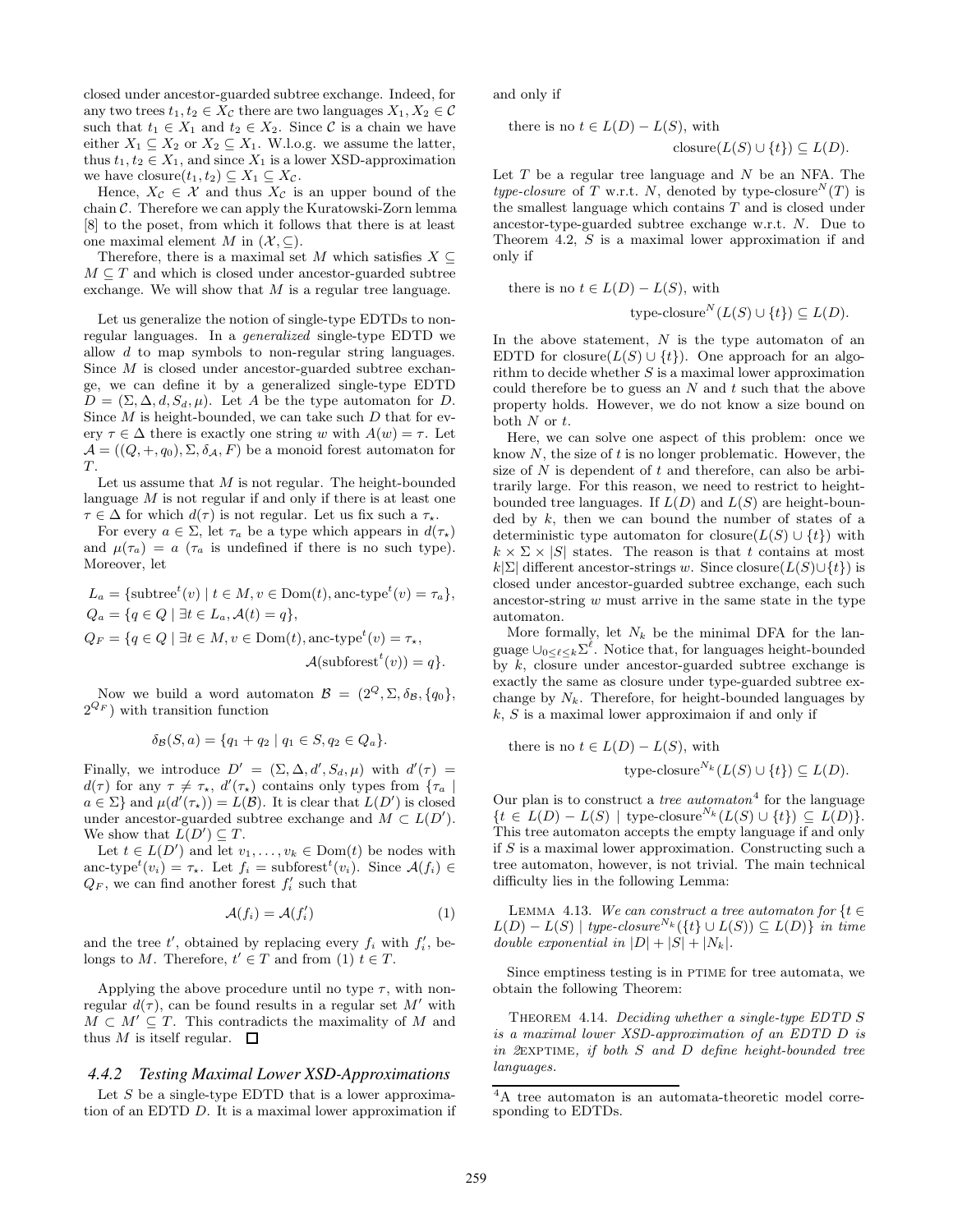closed under ancestor-guarded subtree exchange. Indeed, for any two trees  $t_1, t_2 \in X_{\mathcal{C}}$  there are two languages  $X_1, X_2 \in \mathcal{C}$ such that  $t_1 \in X_1$  and  $t_2 \in X_2$ . Since C is a chain we have either  $X_1 \subseteq X_2$  or  $X_2 \subseteq X_1$ . W.l.o.g. we assume the latter, thus  $t_1, t_2 \in X_1$ , and since  $X_1$  is a lower XSD-approximation we have closure $(t_1, t_2) \subseteq X_1 \subseteq X_{\mathcal{C}}$ .

Hence,  $X_{\mathcal{C}} \in \mathcal{X}$  and thus  $X_{\mathcal{C}}$  is an upper bound of the chain C. Therefore we can apply the Kuratowski-Zorn lemma [8] to the poset, from which it follows that there is at least one maximal element M in  $(X, \subseteq)$ .

Therefore, there is a maximal set M which satisfies  $X \subseteq$  $M \subseteq T$  and which is closed under ancestor-guarded subtree exchange. We will show that  $M$  is a regular tree language.

Let us generalize the notion of single-type EDTDs to nonregular languages. In a *generalized* single-type EDTD we allow d to map symbols to non-regular string languages. Since M is closed under ancestor-guarded subtree exchange, we can define it by a generalized single-type EDTD  $D = (\Sigma, \Delta, d, S_d, \mu)$ . Let A be the type automaton for D. Since  $M$  is height-bounded, we can take such  $D$  that for every  $\tau \in \Delta$  there is exactly one string w with  $A(w) = \tau$ . Let  $\mathcal{A} = ((Q, +, q_0), \Sigma, \delta_{\mathcal{A}}, F)$  be a monoid forest automaton for T.

Let us assume that  $M$  is not regular. The height-bounded language  $M$  is not regular if and only if there is at least one  $\tau \in \Delta$  for which  $d(\tau)$  is not regular. Let us fix such a  $\tau_{\star}$ .

For every  $a \in \Sigma$ , let  $\tau_a$  be a type which appears in  $d(\tau_\star)$ and  $\mu(\tau_a) = a$  ( $\tau_a$  is undefined if there is no such type). Moreover, let

$$
L_a = \{ \text{subtree}^t(v) \mid t \in M, v \in \text{Dom}(t), \text{anc-type}^t(v) = \tau_a \},
$$
  
\n
$$
Q_a = \{ q \in Q \mid \exists t \in L_a, \mathcal{A}(t) = q \},
$$
  
\n
$$
Q_F = \{ q \in Q \mid \exists t \in M, v \in \text{Dom}(t), \text{anc-type}^t(v) = \tau_{\star},
$$
  
\n
$$
\mathcal{A}(\text{subforest}^t(v)) = q \}.
$$

Now we build a word automaton  $\mathcal{B} = (2^Q, \Sigma, \delta_{\mathcal{B}}, \{q_0\},\)$  $2^{Q_F}\big)$  with transition function

$$
\delta_{\mathcal{B}}(S, a) = \{q_1 + q_2 \mid q_1 \in S, q_2 \in Q_a\}.
$$

Finally, we introduce  $D' = (\Sigma, \Delta, d', S_d, \mu)$  with  $d'(\tau) =$  $d(\tau)$  for any  $\tau \neq \tau_{\star}$ ,  $d'(\tau_{\star})$  contains only types from  $\{\tau_a\mid$  $a \in \Sigma$  and  $\mu(d'(\tau_{\star})) = L(\mathcal{B})$ . It is clear that  $L(D')$  is closed under ancestor-guarded subtree exchange and  $M \subset L(D')$ . We show that  $\widetilde{L}(D') \subseteq T$ .

Let  $t \in L(D')$  and let  $v_1, \ldots, v_k \in \text{Dom}(t)$  be nodes with anc-type  $\overline{t}(v_i) = \tau_{\star}$ . Let  $f_i$  = subforest  $t(v_i)$ . Since  $\mathcal{A}(f_i) \in$  $Q_F$ , we can find another forest  $f'_i$  such that

$$
\mathcal{A}(f_i) = \mathcal{A}(f'_i) \tag{1}
$$

and the tree  $t'$ , obtained by replacing every  $f_i$  with  $f'_i$ , belongs to M. Therefore,  $t' \in T$  and from (1)  $t \in T$ .

Applying the above procedure until no type  $\tau$ , with nonregular  $d(\tau)$ , can be found results in a regular set M' with  $M \subset M' \subseteq T$ . This contradicts the maximality of M and thus M is itself regular.  $\Box$ 

#### *4.4.2 Testing Maximal Lower XSD-Approximations*

Let  $S$  be a single-type EDTD that is a lower approximation of an EDTD D. It is a maximal lower approximation if and only if

there is no 
$$
t \in L(D) - L(S)
$$
, with  
closure $(L(S) \cup \{t\}) \subseteq L(D)$ .

Let  $T$  be a regular tree language and  $N$  be an NFA. The *type-closure* of T w.r.t. N, denoted by type-closure<sup>N</sup> $(T)$  is the smallest language which contains T and is closed under ancestor-type-guarded subtree exchange w.r.t. N. Due to Theorem 4.2, S is a maximal lower approximation if and only if

there is no 
$$
t \in L(D) - L(S)
$$
, with  
type-closure<sup>N</sup> $(L(S) \cup \{t\}) \subseteq L(D)$ .

In the above statement,  $N$  is the type automaton of an EDTD for closure( $L(S) \cup \{t\}$ ). One approach for an algorithm to decide whether  $S$  is a maximal lower approximation could therefore be to guess an  $N$  and  $t$  such that the above property holds. However, we do not know a size bound on both  $N$  or  $t$ .

Here, we can solve one aspect of this problem: once we know  $N$ , the size of  $t$  is no longer problematic. However, the size of  $N$  is dependent of  $t$  and therefore, can also be arbitrarily large. For this reason, we need to restrict to heightbounded tree languages. If  $L(D)$  and  $L(S)$  are height-boun- $\text{ded }$  by  $k$ , then we can bound the number of states of a deterministic type automaton for closure( $L(S) \cup \{t\}$ ) with  $k \times \Sigma \times |S|$  states. The reason is that t contains at most k|∑| different ancestor-strings w. Since closure( $L(S) \cup \{t\}$ ) is closed under ancestor-guarded subtree exchange, each such ancestor-string  $w$  must arrive in the same state in the type automaton.

More formally, let  $N_k$  be the minimal DFA for the language  $\cup_{0 \leq \ell \leq k} \Sigma^{\ell}$ . Notice that, for languages height-bounded by  $k$ , closure under ancestor-guarded subtree exchange is exactly the same as closure under type-guarded subtree exchange by  $N_k$ . Therefore, for height-bounded languages by  $k, S$  is a maximal lower approximaion if and only if

there is no 
$$
t \in L(D) - L(S)
$$
, with  
type-closure<sup>N<sub>k</sub></sup> $(L(S) \cup \{t\}) \subseteq L(D)$ .

Our plan is to construct a *tree automaton*<sup>4</sup> for the language  $\{t \in L(D) - L(S) \mid \text{type-closure}^{N_k}(L(S) \cup \{t\}) \subseteq L(D)\}.$ This tree automaton accepts the empty language if and only if  $S$  is a maximal lower approximation. Constructing such a tree automaton, however, is not trivial. The main technical difficulty lies in the following Lemma:

LEMMA 4.13. *We can construct a tree automaton for*  $\{t \in$  $L(D) - L(S)$  | *type-closure*<sup>N<sub>k</sub></sup> ({t} ∪  $L(S)$ ) ⊆  $L(D)$ } *in time double exponential in*  $|D| + |S| + |N_k|$ *.* 

Since emptiness testing is in PTIME for tree automata, we obtain the following Theorem:

Theorem 4.14. *Deciding whether a single-type EDTD* S *is a maximal lower XSD-approximation of an EDTD* D *is in 2*exptime*, if both* S *and* D *define height-bounded tree languages.*

 ${}^4\mathrm{A}$  tree automaton is an automata-theoretic model corresponding to EDTDs.